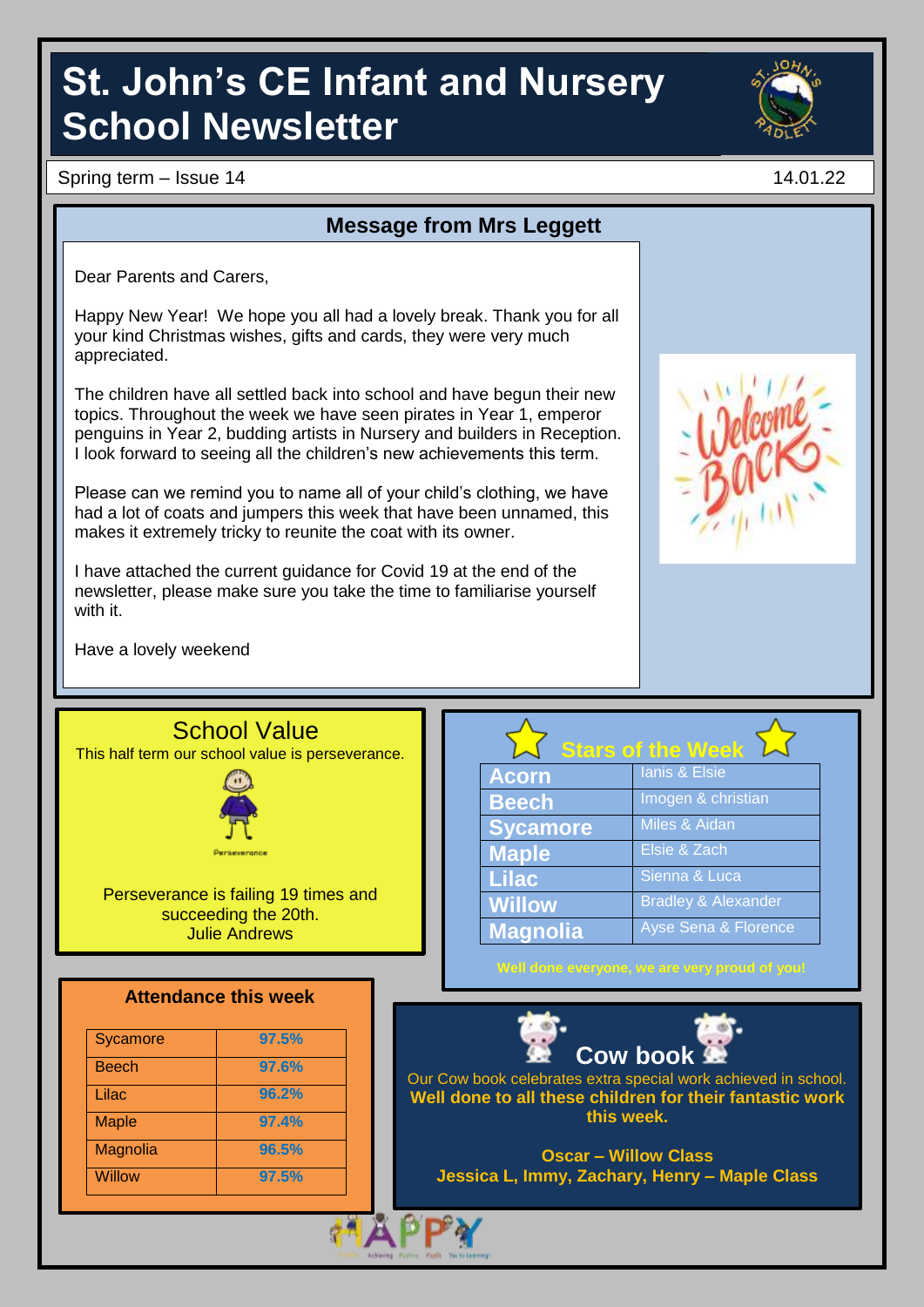# **St. John's CE Infant and Nursery School Newsletter**

Spring term – Issue 14 14.01.22



**Message from Mrs Leggett**

Dear Parents and Carers,

Happy New Year! We hope you all had a lovely break. Thank you for all your kind Christmas wishes, gifts and cards, they were very much appreciated.

The children have all settled back into school and have begun their new topics. Throughout the week we have seen pirates in Year 1, emperor penguins in Year 2, budding artists in Nursery and builders in Reception. I look forward to seeing all the children's new achievements this term.

Please can we remind you to name all of your child's clothing, we have had a lot of coats and jumpers this week that have been unnamed, this makes it extremely tricky to reunite the coat with its owner.

I have attached the current guidance for Covid 19 at the end of the newsletter, please make sure you take the time to familiarise yourself with it.



Have a lovely weekend

## School Value

This half term our school value is perseverance.



Perseverance is failing 19 times and succeeding the 20th. Julie Andrews

**Attendance this week**

Sycamore **97.5%** Beech **97.6%** Lilac **96.2%** Maple **97.4%** Magnolia **96.5%** Willow **97.5%**

| <b>Stars of the Week</b> |                                |
|--------------------------|--------------------------------|
| <b>Acorn</b>             | <b>lanis &amp; Elsie</b>       |
| <b>Beech</b>             | Imogen & christian             |
| <b>Sycamore</b>          | Miles & Aidan                  |
| <b>Maple</b>             | Elsie & Zach                   |
| <b>Lilac</b>             | Sienna & Luca                  |
| <b>Willow</b>            | <b>Bradley &amp; Alexander</b> |
| <b>Magnolia</b>          | Ayse Sena & Florence           |



Our Cow book celebrates extra special work achieved in school. **Well done to all these children for their fantastic work this week.**

**Oscar – Willow Class Jessica L, Immy, Zachary, Henry – Maple Class**

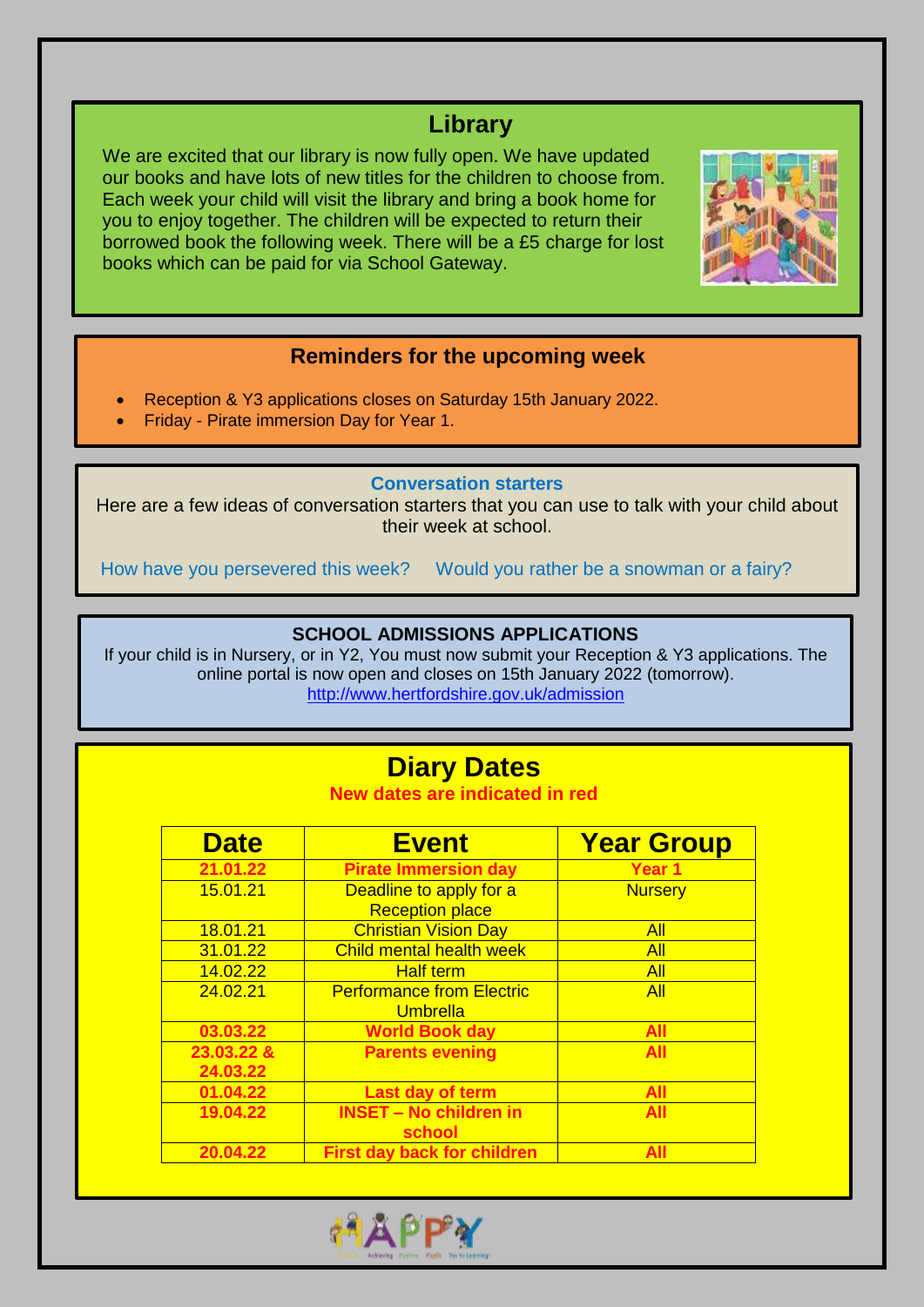## **Library**

We are excited that our library is now fully open. We have updated our books and have lots of new titles for the children to choose from. Each week your child will visit the library and bring a book home for you to enjoy together. The children will be expected to return their borrowed book the following week. There will be a £5 charge for lost books which can be paid for via School Gateway.



# **Reminders for the upcoming week**

- Reception & Y3 applications closes on Saturday 15th January 2022.
- Friday Pirate immersion Day for Year 1.

#### **Conversation starters**

Here are a few ideas of conversation starters that you can use to talk with your child about their week at school.

How have you persevered this week? Would you rather be a snowman or a fairy?

#### **SCHOOL ADMISSIONS APPLICATIONS**

If your child is in Nursery, or in Y2, You must now submit your Reception & Y3 applications. The online portal is now open and closes on 15th January 2022 (tomorrow). <http://www.hertfordshire.gov.uk/admission>

# **Diary Dates**

**New dates are indicated in red**

| <b>Date</b>            | <b>Event</b>                                        | <b>Year Group</b> |
|------------------------|-----------------------------------------------------|-------------------|
| 21.01.22               | <b>Pirate Immersion day</b>                         | Year 1            |
| 15.01.21               | Deadline to apply for a<br><b>Reception place</b>   | <b>Nursery</b>    |
| 18.01.21               | <b>Christian Vision Day</b>                         | All               |
| 31.01.22               | <b>Child mental health week</b>                     | <b>All</b>        |
| 14.02.22               | <b>Half term</b>                                    | All               |
| 24.02.21               | <b>Performance from Electric</b><br><b>Umbrella</b> | All               |
| 03.03.22               | <b>World Book day</b>                               | <b>All</b>        |
| 23.03.22 &<br>24.03.22 | <b>Parents evening</b>                              | <b>All</b>        |
| 01.04.22               | Last day of term                                    | <b>All</b>        |
| 19.04.22               | <b>INSET - No children in</b><br>school             | <b>All</b>        |
| 20.04.22               | <b>First day back for children</b>                  | <b>All</b>        |